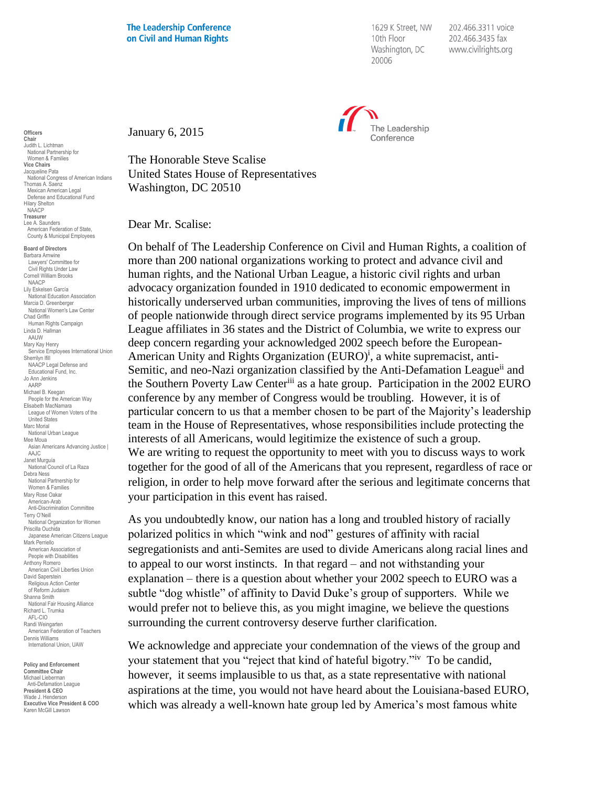1629 K Street, NW 10th Floor Washington, DC 20006

202.466.3311 voice 202.466.3435 fax www.civilrights.org



January 6, 2015

The Honorable Steve Scalise United States House of Representatives Washington, DC 20510

Dear Mr. Scalise:

On behalf of The Leadership Conference on Civil and Human Rights, a coalition of more than 200 national organizations working to protect and advance civil and human rights, and the National Urban League, a historic civil rights and urban advocacy organization founded in 1910 dedicated to economic empowerment in historically underserved urban communities, improving the lives of tens of millions of people nationwide through direct service programs implemented by its 95 Urban League affiliates in 36 states and the District of Columbia, we write to express our deep concern regarding your acknowledged 2002 speech before the European-American Unity and Rights Organization (EURO)<sup>i</sup>, a white supremacist, anti-Semitic, and neo-Nazi organization classified by the Anti-Defamation League<sup>ii</sup> and the Southern Poverty Law Centeriii as a hate group. Participation in the 2002 EURO conference by any member of Congress would be troubling. However, it is of particular concern to us that a member chosen to be part of the Majority's leadership team in the House of Representatives, whose responsibilities include protecting the interests of all Americans, would legitimize the existence of such a group. We are writing to request the opportunity to meet with you to discuss ways to work together for the good of all of the Americans that you represent, regardless of race or religion, in order to help move forward after the serious and legitimate concerns that your participation in this event has raised.

As you undoubtedly know, our nation has a long and troubled history of racially polarized politics in which "wink and nod" gestures of affinity with racial segregationists and anti-Semites are used to divide Americans along racial lines and to appeal to our worst instincts. In that regard – and not withstanding your explanation – there is a question about whether your 2002 speech to EURO was a subtle "dog whistle" of affinity to David Duke's group of supporters. While we would prefer not to believe this, as you might imagine, we believe the questions surrounding the current controversy deserve further clarification.

We acknowledge and appreciate your condemnation of the views of the group and your statement that you "reject that kind of hateful bigotry."<sup>iv</sup> To be candid, however, it seems implausible to us that, as a state representative with national aspirations at the time, you would not have heard about the Louisiana-based EURO, which was already a well-known hate group led by America's most famous white

**Officers Chair** Judith L. Lichtman National Partnership for Women & Families **Vice Chairs** Jacqueline Pata National Congress of American Indians Thomas A. Saenz Mexican American Legal Defense and Educational Fund Hilary Shelton NAACP **Treasurer** Lee A. Saunders American Federation of State, County & Municipal Employees

**Board of Directors** Barbara Arnwine Lawyers' Committee for Civil Rights Under Law Cornell William Brooks NAACP Lily Eskelsen García National Education Association Marcia D. Greenberger National Women's Law Center Chad Griffin Human Rights Campaign Linda D. Hallman AAUW Mary Kay Henry Service Employees International Union Sherrilyn Ifill NAACP Legal Defense and Educational Fund, Inc. Jo Ann Jenkins AARP Michael B. Keegan People for the American Way Elisabeth MacNamara League of Women Voters of the United States Marc Morial National Urban League Mee Moua Asian Americans Advancing Justice | AAJC Janet Murguía National Council of La Raza Debra Ness National Partnership for Women & Families Mary Rose Oakar American-Arab Anti-Discrimination Committee Terry O'Neill National Organization for Women Priscilla Ouchida Japanese American Citizens League Mark Perriello American Association of People with Disabilities Anthony Romero American Civil Liberties Union David Saperstein Religious Action Center of Reform Judaism Shanna Smith National Fair Housing Alliance Richard L. Trumka AFL-CIO Randi Weingarten American Federation of Teachers Dennis Williams International Union, UAW

**Policy and Enforcement Committee Chair** Michael Lieberman Anti-Defamation League **President & CEO** Wade J. Henderson **Executive Vice President & COO** Karen McGill Lawson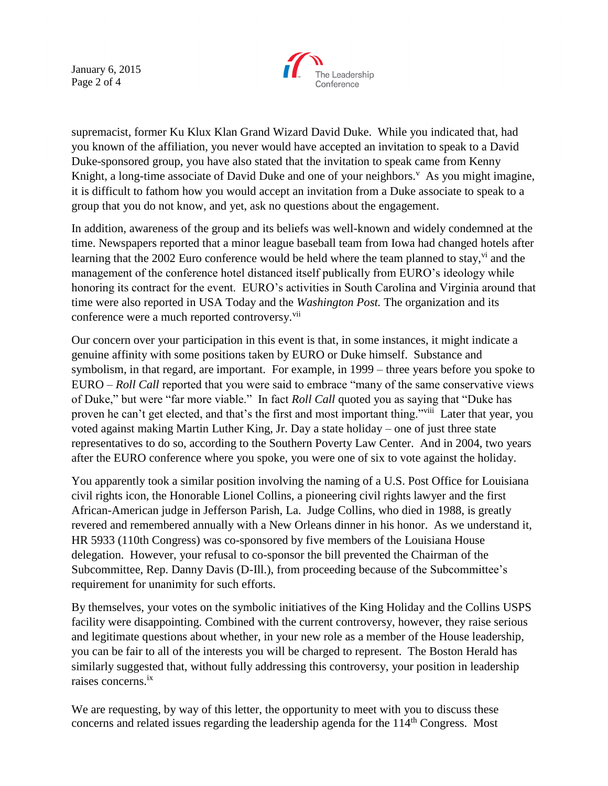January 6, 2015 Page 2 of 4



supremacist, former Ku Klux Klan Grand Wizard David Duke. While you indicated that, had you known of the affiliation, you never would have accepted an invitation to speak to a David Duke-sponsored group, you have also stated that the invitation to speak came from Kenny Knight, a long-time associate of David Duke and one of your neighbors.<sup>V</sup> As you might imagine, it is difficult to fathom how you would accept an invitation from a Duke associate to speak to a group that you do not know, and yet, ask no questions about the engagement.

In addition, awareness of the group and its beliefs was well-known and widely condemned at the time. Newspapers reported that a minor league baseball team from Iowa had changed hotels after learning that the 2002 Euro conference would be held where the team planned to stay,  $\dot{v}$  and the management of the conference hotel distanced itself publically from EURO's ideology while honoring its contract for the event. EURO's activities in South Carolina and Virginia around that time were also reported in USA Today and the *Washington Post.* The organization and its conference were a much reported controversy.<sup>vii</sup>

Our concern over your participation in this event is that, in some instances, it might indicate a genuine affinity with some positions taken by EURO or Duke himself. Substance and symbolism, in that regard, are important. For example, in 1999 – three years before you spoke to EURO – *Roll Call* reported that you were said to embrace "many of the same conservative views of Duke," but were "far more viable." In fact *Roll Call* quoted you as saying that "Duke has proven he can't get elected, and that's the first and most important thing."<sup>viii</sup> Later that year, you voted against making Martin Luther King, Jr. Day a state holiday – one of just three state representatives to do so, according to the Southern Poverty Law Center. And in 2004, two years after the EURO conference where you spoke, you were one of six to vote against the holiday.

You apparently took a similar position involving the naming of a U.S. Post Office for Louisiana civil rights icon, the Honorable Lionel Collins, a pioneering civil rights lawyer and the first African-American judge in Jefferson Parish, La. Judge Collins, who died in 1988, is greatly revered and remembered annually with a New Orleans dinner in his honor. As we understand it, HR 5933 (110th Congress) was co-sponsored by five members of the Louisiana House delegation. However, your refusal to co-sponsor the bill prevented the Chairman of the Subcommittee, Rep. Danny Davis (D-Ill.), from proceeding because of the Subcommittee's requirement for unanimity for such efforts.

By themselves, your votes on the symbolic initiatives of the King Holiday and the Collins USPS facility were disappointing. Combined with the current controversy, however, they raise serious and legitimate questions about whether, in your new role as a member of the House leadership, you can be fair to all of the interests you will be charged to represent. The Boston Herald has similarly suggested that, without fully addressing this controversy, your position in leadership raises concerns.ix

We are requesting, by way of this letter, the opportunity to meet with you to discuss these concerns and related issues regarding the leadership agenda for the  $114<sup>th</sup>$  Congress. Most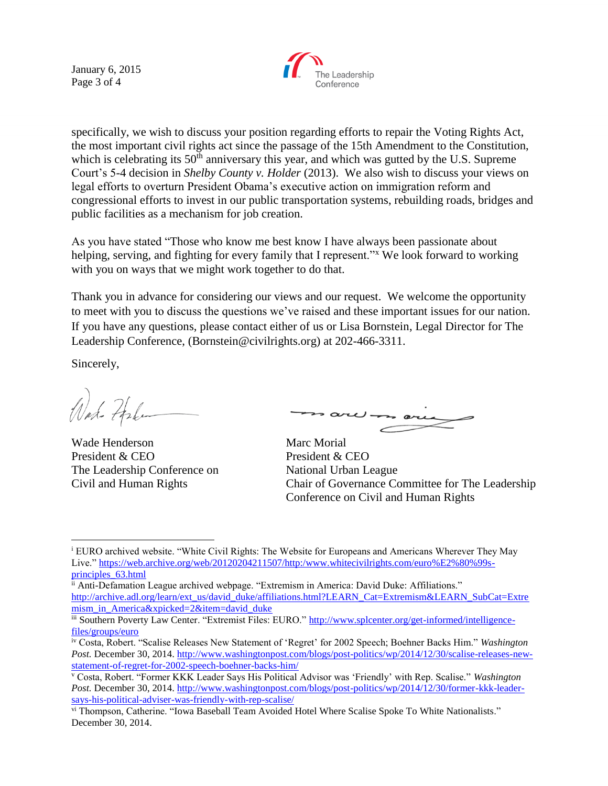January 6, 2015 Page 3 of 4



specifically, we wish to discuss your position regarding efforts to repair the Voting Rights Act, the most important civil rights act since the passage of the 15th Amendment to the Constitution, which is celebrating its  $50<sup>th</sup>$  anniversary this year, and which was gutted by the U.S. Supreme Court's 5-4 decision in *Shelby County v. Holder* (2013). We also wish to discuss your views on legal efforts to overturn President Obama's executive action on immigration reform and congressional efforts to invest in our public transportation systems, rebuilding roads, bridges and public facilities as a mechanism for job creation.

As you have stated "Those who know me best know I have always been passionate about helping, serving, and fighting for every family that I represent."<sup>x</sup> We look forward to working with you on ways that we might work together to do that.

Thank you in advance for considering our views and our request. We welcome the opportunity to meet with you to discuss the questions we've raised and these important issues for our nation. If you have any questions, please contact either of us or Lisa Bornstein, Legal Director for The Leadership Conference, (Bornstein@civilrights.org) at 202-466-3311.

Sincerely,

 $\overline{a}$ 

Wat- Fale

Wade Henderson Marc Morial President & CEO President & CEO The Leadership Conference on National Urban League

 $\sim$  are  $$ s are

Civil and Human Rights Chair of Governance Committee for The Leadership Conference on Civil and Human Rights

<sup>i</sup> EURO archived website. "White Civil Rights: The Website for Europeans and Americans Wherever They May Live." [https://web.archive.org/web/20120204211507/http:/www.whitecivilrights.com/euro%E2%80%99s](https://web.archive.org/web/20120204211507/http:/www.whitecivilrights.com/euro%E2%80%99s-principles_63.html)[principles\\_63.html](https://web.archive.org/web/20120204211507/http:/www.whitecivilrights.com/euro%E2%80%99s-principles_63.html)

ii Anti-Defamation League archived webpage. "Extremism in America: David Duke: Affiliations." [http://archive.adl.org/learn/ext\\_us/david\\_duke/affiliations.html?LEARN\\_Cat=Extremism&LEARN\\_SubCat=Extre](http://archive.adl.org/learn/ext_us/david_duke/affiliations.html?LEARN_Cat=Extremism&LEARN_SubCat=Extremism_in_America&xpicked=2&item=david_duke) [mism\\_in\\_America&xpicked=2&item=david\\_duke](http://archive.adl.org/learn/ext_us/david_duke/affiliations.html?LEARN_Cat=Extremism&LEARN_SubCat=Extremism_in_America&xpicked=2&item=david_duke)

iii Southern Poverty Law Center. "Extremist Files: EURO." [http://www.splcenter.org/get-informed/intelligence](http://www.splcenter.org/get-informed/intelligence-files/groups/euro)[files/groups/euro](http://www.splcenter.org/get-informed/intelligence-files/groups/euro)

iv Costa, Robert. "Scalise Releases New Statement of 'Regret' for 2002 Speech; Boehner Backs Him." *Washington Post.* December 30, 2014. [http://www.washingtonpost.com/blogs/post-politics/wp/2014/12/30/scalise-releases-new](http://www.washingtonpost.com/blogs/post-politics/wp/2014/12/30/scalise-releases-new-statement-of-regret-for-2002-speech-boehner-backs-him/)[statement-of-regret-for-2002-speech-boehner-backs-him/](http://www.washingtonpost.com/blogs/post-politics/wp/2014/12/30/scalise-releases-new-statement-of-regret-for-2002-speech-boehner-backs-him/)

<sup>v</sup> Costa, Robert. "Former KKK Leader Says His Political Advisor was 'Friendly' with Rep. Scalise." *Washington Post.* December 30, 2014. [http://www.washingtonpost.com/blogs/post-politics/wp/2014/12/30/former-kkk-leader](http://www.washingtonpost.com/blogs/post-politics/wp/2014/12/30/former-kkk-leader-says-his-political-adviser-was-friendly-with-rep-scalise/)[says-his-political-adviser-was-friendly-with-rep-scalise/](http://www.washingtonpost.com/blogs/post-politics/wp/2014/12/30/former-kkk-leader-says-his-political-adviser-was-friendly-with-rep-scalise/)

vi Thompson, Catherine. "Iowa Baseball Team Avoided Hotel Where Scalise Spoke To White Nationalists." December 30, 2014.